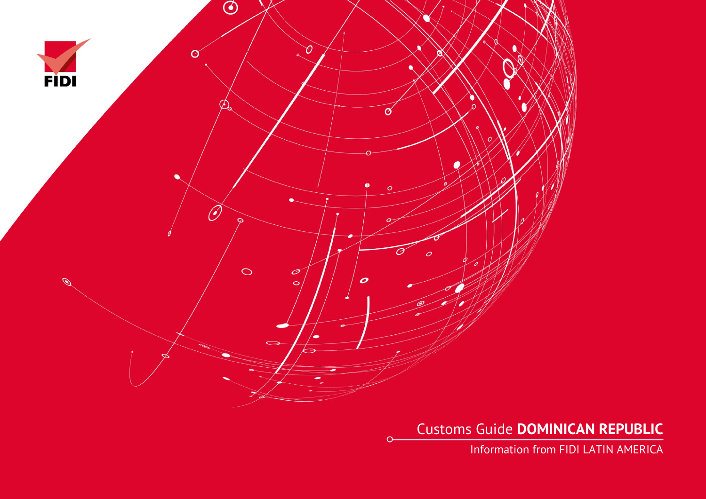

 $\Omega$ 

Customs Guide **DOMINICAN REPUBLIC**

Information from FIDI LATIN AMERICA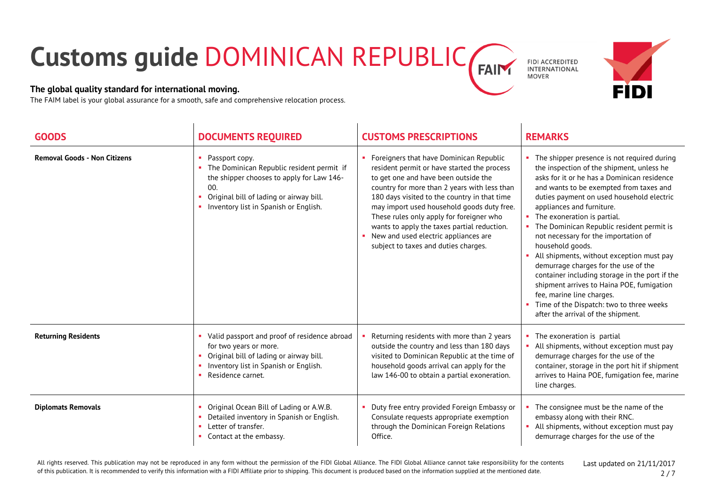## **Customs guide** DOMINICAN REPUBLIC **FAIN**

## **The global quality standard for international moving.**

The FAIM label is your global assurance for a smooth, safe and comprehensive relocation process.

|   | <b>FIDI ACCREDITED</b> |
|---|------------------------|
| 1 | INTERNATIONAL          |
|   | <b>MOVER</b>           |



| <b>GOODS</b>                        | <b>DOCUMENTS REQUIRED</b>                                                                                                                                                                                | <b>CUSTOMS PRESCRIPTIONS</b>                                                                                                                                                                                                                                                                                                                                                                                                                            | <b>REMARKS</b>                                                                                                                                                                                                                                                                                                                                                                                                                                                                                                                                                                                                                                                                                          |
|-------------------------------------|----------------------------------------------------------------------------------------------------------------------------------------------------------------------------------------------------------|---------------------------------------------------------------------------------------------------------------------------------------------------------------------------------------------------------------------------------------------------------------------------------------------------------------------------------------------------------------------------------------------------------------------------------------------------------|---------------------------------------------------------------------------------------------------------------------------------------------------------------------------------------------------------------------------------------------------------------------------------------------------------------------------------------------------------------------------------------------------------------------------------------------------------------------------------------------------------------------------------------------------------------------------------------------------------------------------------------------------------------------------------------------------------|
| <b>Removal Goods - Non Citizens</b> | Passport copy.<br>The Dominican Republic resident permit if<br>the shipper chooses to apply for Law 146-<br>00.<br>Original bill of lading or airway bill.<br>٠<br>Inventory list in Spanish or English. | Foreigners that have Dominican Republic<br>resident permit or have started the process<br>to get one and have been outside the<br>country for more than 2 years with less than<br>180 days visited to the country in that time<br>may import used household goods duty free.<br>These rules only apply for foreigner who<br>wants to apply the taxes partial reduction.<br>New and used electric appliances are<br>subject to taxes and duties charges. | The shipper presence is not required during<br>the inspection of the shipment, unless he<br>asks for it or he has a Dominican residence<br>and wants to be exempted from taxes and<br>duties payment on used household electric<br>appliances and furniture.<br>The exoneration is partial.<br>The Dominican Republic resident permit is<br>not necessary for the importation of<br>household goods.<br>All shipments, without exception must pay<br>demurrage charges for the use of the<br>container including storage in the port if the<br>shipment arrives to Haina POE, fumigation<br>fee, marine line charges.<br>Time of the Dispatch: two to three weeks<br>after the arrival of the shipment. |
| <b>Returning Residents</b>          | Valid passport and proof of residence abroad<br>for two years or more.<br>Original bill of lading or airway bill.<br>Inventory list in Spanish or English.<br>Residence carnet.                          | Returning residents with more than 2 years<br>outside the country and less than 180 days<br>visited to Dominican Republic at the time of<br>household goods arrival can apply for the<br>law 146-00 to obtain a partial exoneration.                                                                                                                                                                                                                    | The exoneration is partial<br>All shipments, without exception must pay<br>demurrage charges for the use of the<br>container, storage in the port hit if shipment<br>arrives to Haina POE, fumigation fee, marine<br>line charges.                                                                                                                                                                                                                                                                                                                                                                                                                                                                      |
| <b>Diplomats Removals</b>           | Original Ocean Bill of Lading or A.W.B.<br>Detailed inventory in Spanish or English.<br>Letter of transfer.<br>Contact at the embassy.                                                                   | Duty free entry provided Foreign Embassy or<br>Consulate requests appropriate exemption<br>through the Dominican Foreign Relations<br>Office.                                                                                                                                                                                                                                                                                                           | The consignee must be the name of the<br>embassy along with their RNC.<br>All shipments, without exception must pay<br>demurrage charges for the use of the                                                                                                                                                                                                                                                                                                                                                                                                                                                                                                                                             |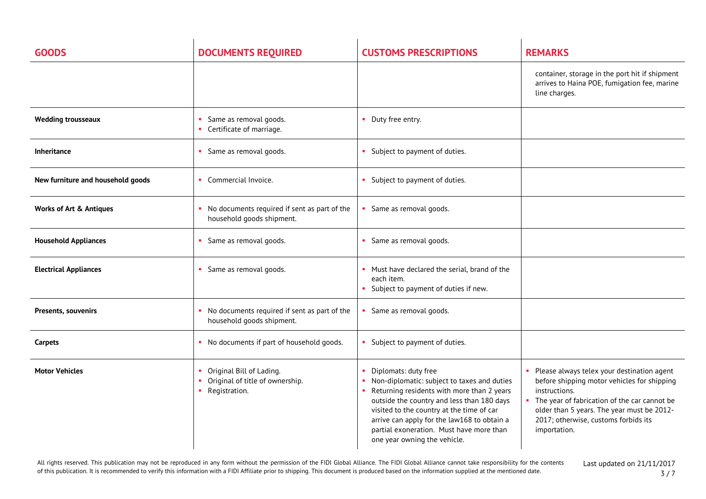| <b>GOODS</b>                       | <b>DOCUMENTS REQUIRED</b>                                                    | <b>CUSTOMS PRESCRIPTIONS</b>                                                                                                                                                                                                                                                                                                              | <b>REMARKS</b>                                                                                                                                                                                                                                                   |
|------------------------------------|------------------------------------------------------------------------------|-------------------------------------------------------------------------------------------------------------------------------------------------------------------------------------------------------------------------------------------------------------------------------------------------------------------------------------------|------------------------------------------------------------------------------------------------------------------------------------------------------------------------------------------------------------------------------------------------------------------|
|                                    |                                                                              |                                                                                                                                                                                                                                                                                                                                           | container, storage in the port hit if shipment<br>arrives to Haina POE, fumigation fee, marine<br>line charges.                                                                                                                                                  |
| <b>Wedding trousseaux</b>          | Same as removal goods.<br>Certificate of marriage.                           | • Duty free entry.                                                                                                                                                                                                                                                                                                                        |                                                                                                                                                                                                                                                                  |
| Inheritance                        | Same as removal goods.                                                       | • Subject to payment of duties.                                                                                                                                                                                                                                                                                                           |                                                                                                                                                                                                                                                                  |
| New furniture and household goods  | Commercial Invoice.                                                          | Subject to payment of duties.                                                                                                                                                                                                                                                                                                             |                                                                                                                                                                                                                                                                  |
| <b>Works of Art &amp; Antiques</b> | • No documents required if sent as part of the<br>household goods shipment.  | Same as removal goods.                                                                                                                                                                                                                                                                                                                    |                                                                                                                                                                                                                                                                  |
| <b>Household Appliances</b>        | Same as removal goods.                                                       | • Same as removal goods.                                                                                                                                                                                                                                                                                                                  |                                                                                                                                                                                                                                                                  |
| <b>Electrical Appliances</b>       | Same as removal goods.                                                       | Must have declared the serial, brand of the<br>each item.<br>Subject to payment of duties if new.                                                                                                                                                                                                                                         |                                                                                                                                                                                                                                                                  |
| Presents, souvenirs                | No documents required if sent as part of the<br>household goods shipment.    | Same as removal goods.                                                                                                                                                                                                                                                                                                                    |                                                                                                                                                                                                                                                                  |
| Carpets                            | • No documents if part of household goods.                                   | • Subject to payment of duties.                                                                                                                                                                                                                                                                                                           |                                                                                                                                                                                                                                                                  |
| <b>Motor Vehicles</b>              | Original Bill of Lading.<br>Original of title of ownership.<br>Registration. | Diplomats: duty free<br>• Non-diplomatic: subject to taxes and duties<br>Returning residents with more than 2 years<br>outside the country and less than 180 days<br>visited to the country at the time of car<br>arrive can apply for the law168 to obtain a<br>partial exoneration. Must have more than<br>one year owning the vehicle. | Please always telex your destination agent<br>before shipping motor vehicles for shipping<br>instructions.<br>The year of fabrication of the car cannot be<br>older than 5 years. The year must be 2012-<br>2017; otherwise, customs forbids its<br>importation. |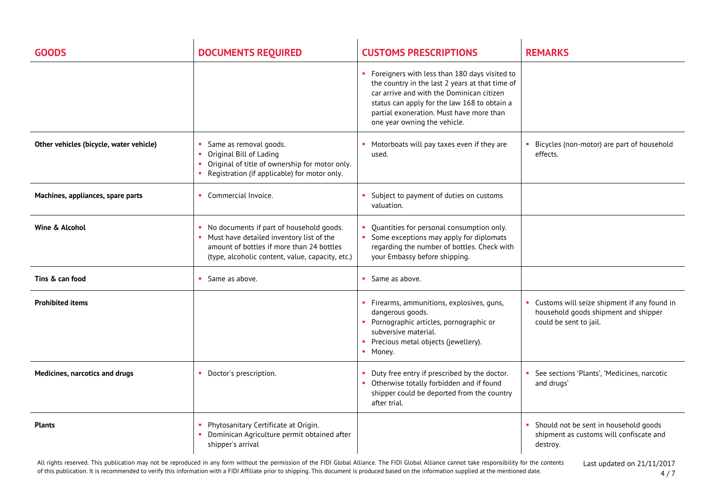| <b>GOODS</b>                            | <b>DOCUMENTS REQUIRED</b>                                                                                                                                                             | <b>CUSTOMS PRESCRIPTIONS</b>                                                                                                                                                                                                                                                | <b>REMARKS</b>                                                                                                  |
|-----------------------------------------|---------------------------------------------------------------------------------------------------------------------------------------------------------------------------------------|-----------------------------------------------------------------------------------------------------------------------------------------------------------------------------------------------------------------------------------------------------------------------------|-----------------------------------------------------------------------------------------------------------------|
|                                         |                                                                                                                                                                                       | • Foreigners with less than 180 days visited to<br>the country in the last 2 years at that time of<br>car arrive and with the Dominican citizen<br>status can apply for the law 168 to obtain a<br>partial exoneration. Must have more than<br>one year owning the vehicle. |                                                                                                                 |
| Other vehicles (bicycle, water vehicle) | Same as removal goods.<br>Original Bill of Lading<br>Original of title of ownership for motor only.<br>m.<br>Registration (if applicable) for motor only.                             | Motorboats will pay taxes even if they are<br>used.                                                                                                                                                                                                                         | Bicycles (non-motor) are part of household<br>effects.                                                          |
| Machines, appliances, spare parts       | • Commercial Invoice.                                                                                                                                                                 | • Subject to payment of duties on customs<br>valuation.                                                                                                                                                                                                                     |                                                                                                                 |
| Wine & Alcohol                          | No documents if part of household goods.<br>Must have detailed inventory list of the<br>amount of bottles if more than 24 bottles<br>(type, alcoholic content, value, capacity, etc.) | Quantities for personal consumption only.<br>Some exceptions may apply for diplomats<br>regarding the number of bottles. Check with<br>your Embassy before shipping.                                                                                                        |                                                                                                                 |
| Tins & can food                         | • Same as above.                                                                                                                                                                      | • Same as above.                                                                                                                                                                                                                                                            |                                                                                                                 |
| <b>Prohibited items</b>                 |                                                                                                                                                                                       | • Firearms, ammunitions, explosives, guns,<br>dangerous goods.<br>• Pornographic articles, pornographic or<br>subversive material.<br>• Precious metal objects (jewellery).<br>• Money.                                                                                     | • Customs will seize shipment if any found in<br>household goods shipment and shipper<br>could be sent to jail. |
| Medicines, narcotics and drugs          | Doctor's prescription.                                                                                                                                                                | Duty free entry if prescribed by the doctor.<br>• Otherwise totally forbidden and if found<br>shipper could be deported from the country<br>after trial.                                                                                                                    | See sections 'Plants', 'Medicines, narcotic<br>and drugs'                                                       |
| <b>Plants</b>                           | Phytosanitary Certificate at Origin.<br>Dominican Agriculture permit obtained after<br>shipper's arrival                                                                              |                                                                                                                                                                                                                                                                             | Should not be sent in household goods<br>shipment as customs will confiscate and<br>destroy.                    |

All rights reserved. This publication may not be reproduced in any form without the permission of the FIDI Global Alliance. The FIDI Global Alliance cannot take responsibility for the contents of this publication. It is recommended to verify this information with a FIDI Affiliate prior to shipping. This document is produced based on the information supplied at the mentioned date.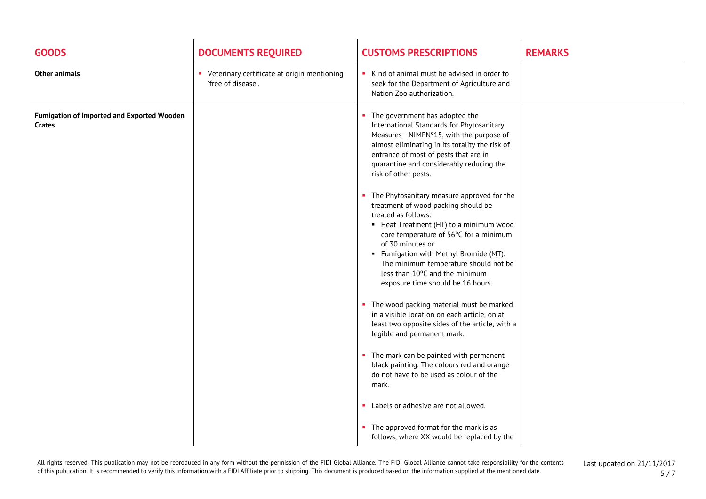| <b>GOODS</b>                                         | <b>DOCUMENTS REQUIRED</b>                                         | <b>CUSTOMS PRESCRIPTIONS</b>                                                                                                                                                                                                                                                                                                                                                  | <b>REMARKS</b> |
|------------------------------------------------------|-------------------------------------------------------------------|-------------------------------------------------------------------------------------------------------------------------------------------------------------------------------------------------------------------------------------------------------------------------------------------------------------------------------------------------------------------------------|----------------|
| <b>Other animals</b>                                 | Veterinary certificate at origin mentioning<br>'free of disease'. | Kind of animal must be advised in order to<br>seek for the Department of Agriculture and<br>Nation Zoo authorization.                                                                                                                                                                                                                                                         |                |
| Fumigation of Imported and Exported Wooden<br>Crates |                                                                   | The government has adopted the<br>International Standards for Phytosanitary<br>Measures - NIMFNº15, with the purpose of<br>almost eliminating in its totality the risk of<br>entrance of most of pests that are in<br>quarantine and considerably reducing the<br>risk of other pests.                                                                                        |                |
|                                                      |                                                                   | • The Phytosanitary measure approved for the<br>treatment of wood packing should be<br>treated as follows:<br>• Heat Treatment (HT) to a minimum wood<br>core temperature of 56°C for a minimum<br>of 30 minutes or<br>• Fumigation with Methyl Bromide (MT).<br>The minimum temperature should not be<br>less than 10°C and the minimum<br>exposure time should be 16 hours. |                |
|                                                      |                                                                   | • The wood packing material must be marked<br>in a visible location on each article, on at<br>least two opposite sides of the article, with a<br>legible and permanent mark.                                                                                                                                                                                                  |                |
|                                                      |                                                                   | • The mark can be painted with permanent<br>black painting. The colours red and orange<br>do not have to be used as colour of the<br>mark.                                                                                                                                                                                                                                    |                |
|                                                      |                                                                   | • Labels or adhesive are not allowed.<br>• The approved format for the mark is as<br>follows, where XX would be replaced by the                                                                                                                                                                                                                                               |                |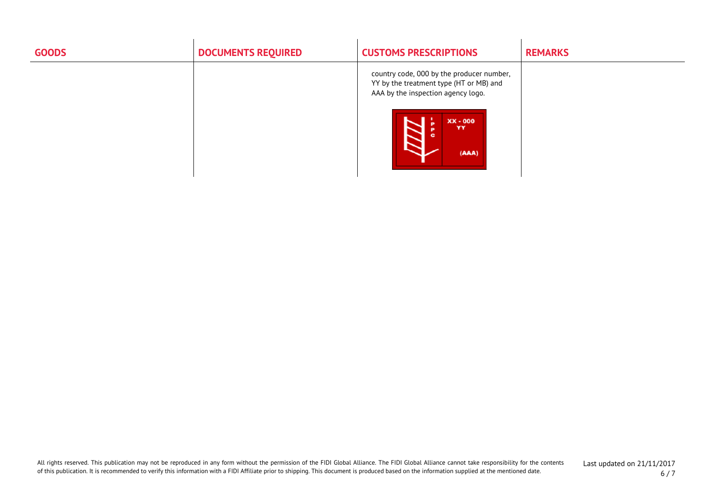| <b>GOODS</b> | <b>DOCUMENTS REQUIRED</b> | <b>CUSTOMS PRESCRIPTIONS</b>                                                                                               | <b>REMARKS</b> |
|--------------|---------------------------|----------------------------------------------------------------------------------------------------------------------------|----------------|
|              |                           | country code, 000 by the producer number,<br>YY by the treatment type (HT or MB) and<br>AAA by the inspection agency logo. |                |
|              |                           | XX - 000<br>YY<br>(AAA)                                                                                                    |                |